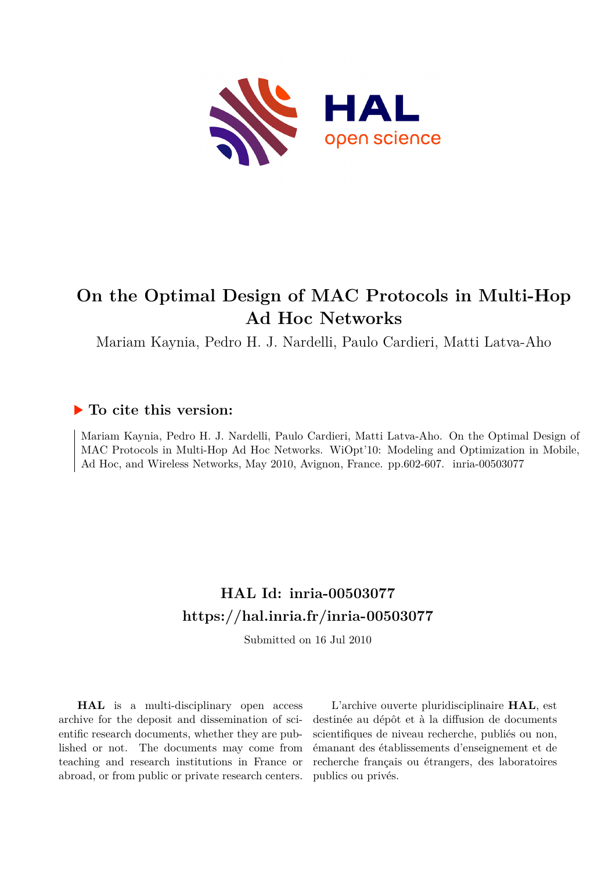

## **On the Optimal Design of MAC Protocols in Multi-Hop Ad Hoc Networks**

Mariam Kaynia, Pedro H. J. Nardelli, Paulo Cardieri, Matti Latva-Aho

### **To cite this version:**

Mariam Kaynia, Pedro H. J. Nardelli, Paulo Cardieri, Matti Latva-Aho. On the Optimal Design of MAC Protocols in Multi-Hop Ad Hoc Networks. WiOpt'10: Modeling and Optimization in Mobile, Ad Hoc, and Wireless Networks, May 2010, Avignon, France. pp.602-607. inria-00503077

## **HAL Id: inria-00503077 <https://hal.inria.fr/inria-00503077>**

Submitted on 16 Jul 2010

**HAL** is a multi-disciplinary open access archive for the deposit and dissemination of scientific research documents, whether they are published or not. The documents may come from teaching and research institutions in France or abroad, or from public or private research centers.

L'archive ouverte pluridisciplinaire **HAL**, est destinée au dépôt et à la diffusion de documents scientifiques de niveau recherche, publiés ou non, émanant des établissements d'enseignement et de recherche français ou étrangers, des laboratoires publics ou privés.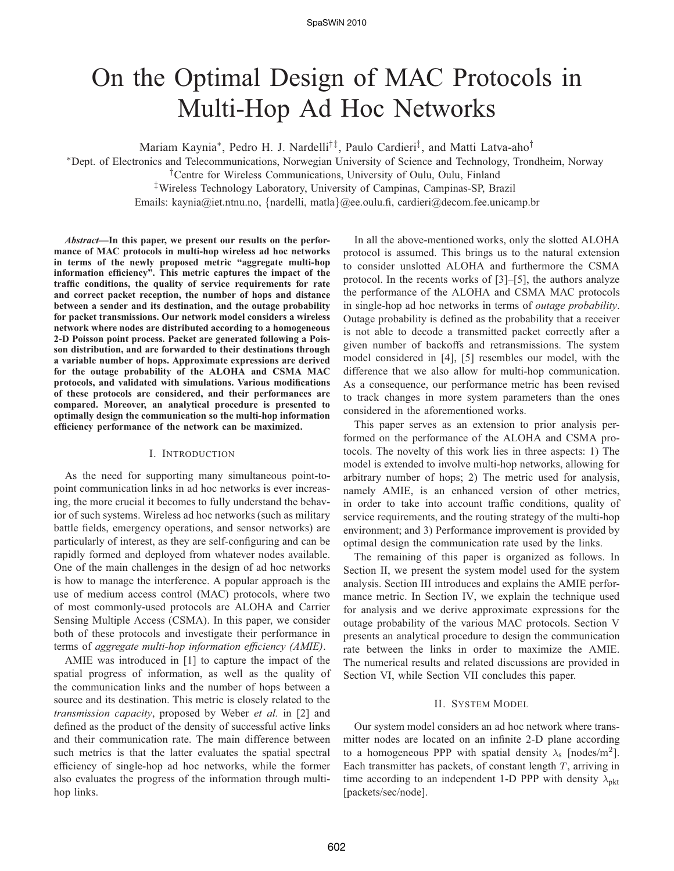# On the Optimal Design of MAC Protocols in Multi-Hop Ad Hoc Networks

Mariam Kaynia<sup>∗</sup>, Pedro H. J. Nardelli<sup>†‡</sup>, Paulo Cardieri<sup>‡</sup>, and Matti Latva-aho<sup>†</sup>

<sup>∗</sup>Dept. of Electronics and Telecommunications, Norwegian University of Science and Technology, Trondheim, Norway

†Centre for Wireless Communications, University of Oulu, Oulu, Finland

‡Wireless Technology Laboratory, University of Campinas, Campinas-SP, Brazil

Emails: kaynia@iet.ntnu.no, {nardelli, matla}@ee.oulu.fi, cardieri@decom.fee.unicamp.br

*Abstract***—In this paper, we present our results on the performance of MAC protocols in multi-hop wireless ad hoc networks in terms of the newly proposed metric "aggregate multi-hop information efficiency". This metric captures the impact of the traffic conditions, the quality of service requirements for rate and correct packet reception, the number of hops and distance between a sender and its destination, and the outage probability for packet transmissions. Our network model considers a wireless network where nodes are distributed according to a homogeneous 2-D Poisson point process. Packet are generated following a Poisson distribution, and are forwarded to their destinations through a variable number of hops. Approximate expressions are derived for the outage probability of the ALOHA and CSMA MAC protocols, and validated with simulations. Various modifications of these protocols are considered, and their performances are compared. Moreover, an analytical procedure is presented to optimally design the communication so the multi-hop information efficiency performance of the network can be maximized.**

#### I. INTRODUCTION

As the need for supporting many simultaneous point-topoint communication links in ad hoc networks is ever increasing, the more crucial it becomes to fully understand the behavior of such systems. Wireless ad hoc networks (such as military battle fields, emergency operations, and sensor networks) are particularly of interest, as they are self-configuring and can be rapidly formed and deployed from whatever nodes available. One of the main challenges in the design of ad hoc networks is how to manage the interference. A popular approach is the use of medium access control (MAC) protocols, where two of most commonly-used protocols are ALOHA and Carrier Sensing Multiple Access (CSMA). In this paper, we consider both of these protocols and investigate their performance in terms of *aggregate multi-hop information efficiency (AMIE)*.

AMIE was introduced in [1] to capture the impact of the spatial progress of information, as well as the quality of the communication links and the number of hops between a source and its destination. This metric is closely related to the *transmission capacity*, proposed by Weber *et al.* in [2] and defined as the product of the density of successful active links and their communication rate. The main difference between such metrics is that the latter evaluates the spatial spectral efficiency of single-hop ad hoc networks, while the former also evaluates the progress of the information through multihop links.

In all the above-mentioned works, only the slotted ALOHA protocol is assumed. This brings us to the natural extension to consider unslotted ALOHA and furthermore the CSMA protocol. In the recents works of [3]–[5], the authors analyze the performance of the ALOHA and CSMA MAC protocols in single-hop ad hoc networks in terms of *outage probability*. Outage probability is defined as the probability that a receiver is not able to decode a transmitted packet correctly after a given number of backoffs and retransmissions. The system model considered in [4], [5] resembles our model, with the difference that we also allow for multi-hop communication. As a consequence, our performance metric has been revised to track changes in more system parameters than the ones considered in the aforementioned works.

This paper serves as an extension to prior analysis performed on the performance of the ALOHA and CSMA protocols. The novelty of this work lies in three aspects: 1) The model is extended to involve multi-hop networks, allowing for arbitrary number of hops; 2) The metric used for analysis, namely AMIE, is an enhanced version of other metrics, in order to take into account traffic conditions, quality of service requirements, and the routing strategy of the multi-hop environment; and 3) Performance improvement is provided by optimal design the communication rate used by the links.

The remaining of this paper is organized as follows. In Section II, we present the system model used for the system analysis. Section III introduces and explains the AMIE performance metric. In Section IV, we explain the technique used for analysis and we derive approximate expressions for the outage probability of the various MAC protocols. Section V presents an analytical procedure to design the communication rate between the links in order to maximize the AMIE. The numerical results and related discussions are provided in Section VI, while Section VII concludes this paper.

#### II. SYSTEM MODEL

Our system model considers an ad hoc network where transmitter nodes are located on an infinite 2-D plane according to a homogeneous PPP with spatial density  $\lambda_s$  [nodes/m<sup>2</sup>]. Each transmitter has packets, of constant length  $T$ , arriving in time according to an independent 1-D PPP with density  $\lambda_{\text{nkt}}$ [packets/sec/node].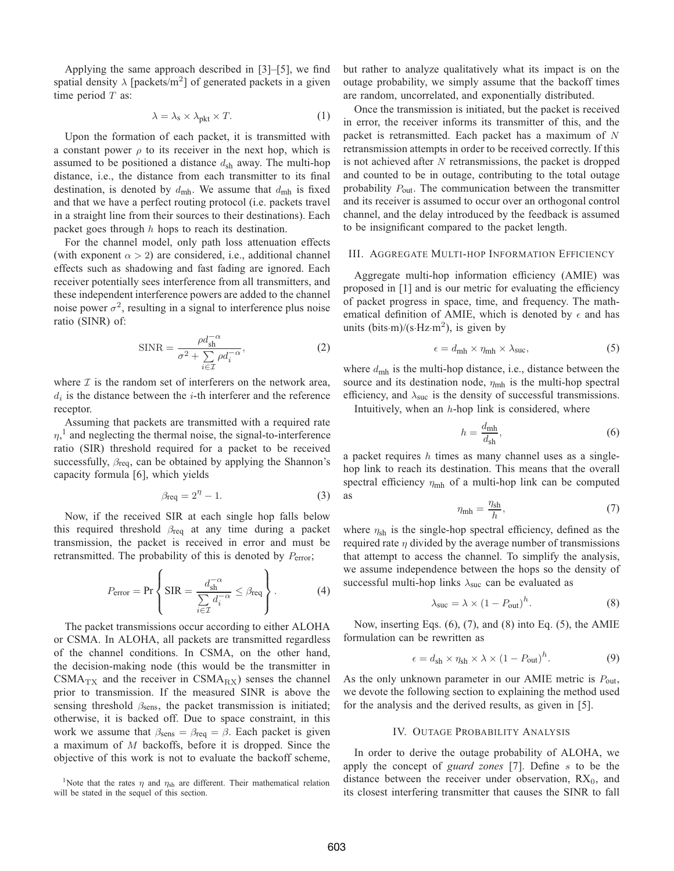Applying the same approach described in [3]–[5], we find spatial density  $\lambda$  [packets/m<sup>2</sup>] of generated packets in a given time period  $T$  as:

$$
\lambda = \lambda_s \times \lambda_{\text{pkt}} \times T. \tag{1}
$$

Upon the formation of each packet, it is transmitted with a constant power  $\rho$  to its receiver in the next hop, which is assumed to be positioned a distance  $d_{\rm sh}$  away. The multi-hop distance, i.e., the distance from each transmitter to its final destination, is denoted by  $d_{\text{mh}}$ . We assume that  $d_{\text{mh}}$  is fixed and that we have a perfect routing protocol (i.e. packets travel in a straight line from their sources to their destinations). Each packet goes through  $h$  hops to reach its destination.

For the channel model, only path loss attenuation effects (with exponent  $\alpha > 2$ ) are considered, i.e., additional channel effects such as shadowing and fast fading are ignored. Each receiver potentially sees interference from all transmitters, and these independent interference powers are added to the channel noise power  $\sigma^2$ , resulting in a signal to interference plus noise ratio (SINR) of:

$$
SINR = \frac{\rho d_{\rm sh}^{-\alpha}}{\sigma^2 + \sum_{i \in \mathcal{I}} \rho d_i^{-\alpha}},\tag{2}
$$

where  $\mathcal I$  is the random set of interferers on the network area,  $d_i$  is the distance between the *i*-th interferer and the reference receptor.

Assuming that packets are transmitted with a required rate  $\eta$ ,<sup>1</sup> and neglecting the thermal noise, the signal-to-interference ratio (SIR) threshold required for a packet to be received successfully,  $\beta_{\text{req}}$ , can be obtained by applying the Shannon's capacity formula [6], which yields

$$
\beta_{\text{req}} = 2^{\eta} - 1. \tag{3}
$$

Now, if the received SIR at each single hop falls below this required threshold  $\beta_{\text{req}}$  at any time during a packet transmission, the packet is received in error and must be retransmitted. The probability of this is denoted by  $P_{\text{error}}$ ;

$$
P_{\text{error}} = \Pr \left\{ \text{SIR} = \frac{d_{\text{sh}}^{-\alpha}}{\sum\limits_{i \in \mathcal{I}} d_i^{-\alpha}} \le \beta_{\text{req}} \right\}.
$$
 (4)

The packet transmissions occur according to either ALOHA or CSMA. In ALOHA, all packets are transmitted regardless of the channel conditions. In CSMA, on the other hand, the decision-making node (this would be the transmitter in  $CSMA_{TX}$  and the receiver in  $CSMA_{RX}$ ) senses the channel prior to transmission. If the measured SINR is above the sensing threshold  $\beta_{\text{sens}}$ , the packet transmission is initiated; otherwise, it is backed off. Due to space constraint, in this work we assume that  $\beta_{\text{sens}} = \beta_{\text{req}} = \beta$ . Each packet is given a maximum of M backoffs, before it is dropped. Since the objective of this work is not to evaluate the backoff scheme,

<sup>1</sup>Note that the rates  $\eta$  and  $\eta_{\rm sh}$  are different. Their mathematical relation will be stated in the sequel of this section.

but rather to analyze qualitatively what its impact is on the outage probability, we simply assume that the backoff times are random, uncorrelated, and exponentially distributed.

Once the transmission is initiated, but the packet is received in error, the receiver informs its transmitter of this, and the packet is retransmitted. Each packet has a maximum of N retransmission attempts in order to be received correctly. If this is not achieved after  $N$  retransmissions, the packet is dropped and counted to be in outage, contributing to the total outage probability  $P_{\text{out}}$ . The communication between the transmitter and its receiver is assumed to occur over an orthogonal control channel, and the delay introduced by the feedback is assumed to be insignificant compared to the packet length.

#### III. AGGREGATE MULTI-HOP INFORMATION EFFICIENCY

Aggregate multi-hop information efficiency (AMIE) was proposed in [1] and is our metric for evaluating the efficiency of packet progress in space, time, and frequency. The mathematical definition of AMIE, which is denoted by  $\epsilon$  and has units (bits $\cdot$ m)/(s $\cdot$ Hz $\cdot$ m<sup>2</sup>), is given by

$$
\epsilon = d_{\text{mh}} \times \eta_{\text{mh}} \times \lambda_{\text{suc}},\tag{5}
$$

where  $d_{\text{mh}}$  is the multi-hop distance, i.e., distance between the source and its destination node,  $\eta_{\text{mh}}$  is the multi-hop spectral efficiency, and  $\lambda_{\text{suc}}$  is the density of successful transmissions.

Intuitively, when an  $h$ -hop link is considered, where

$$
h = \frac{d_{\text{mh}}}{d_{\text{sh}}},\tag{6}
$$

a packet requires  $h$  times as many channel uses as a singlehop link to reach its destination. This means that the overall spectral efficiency  $\eta_{\text{mh}}$  of a multi-hop link can be computed as

$$
\eta_{\rm mh} = \frac{\eta_{\rm sh}}{h},\tag{7}
$$

where  $\eta_{\rm sh}$  is the single-hop spectral efficiency, defined as the required rate  $\eta$  divided by the average number of transmissions that attempt to access the channel. To simplify the analysis, we assume independence between the hops so the density of successful multi-hop links  $\lambda_{\text{suc}}$  can be evaluated as

$$
\lambda_{\text{succ}} = \lambda \times (1 - P_{\text{out}})^h. \tag{8}
$$

Now, inserting Eqs. (6), (7), and (8) into Eq. (5), the AMIE formulation can be rewritten as

$$
\epsilon = d_{\rm sh} \times \eta_{\rm sh} \times \lambda \times (1 - P_{\rm out})^h. \tag{9}
$$

As the only unknown parameter in our AMIE metric is  $P_{\text{out}}$ , we devote the following section to explaining the method used for the analysis and the derived results, as given in [5].

#### IV. OUTAGE PROBABILITY ANALYSIS

In order to derive the outage probability of ALOHA, we apply the concept of *guard zones* [7]. Define s to be the distance between the receiver under observation,  $RX_0$ , and its closest interfering transmitter that causes the SINR to fall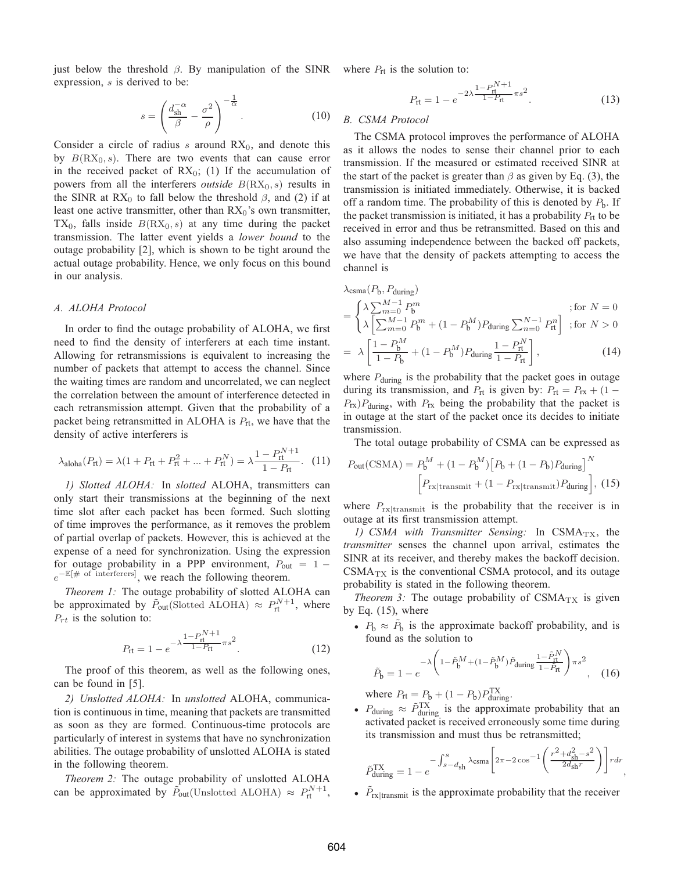just below the threshold  $\beta$ . By manipulation of the SINR where  $P_{\text{rt}}$  is the solution to: expression,  $s$  is derived to be:

$$
s = \left(\frac{d_{\rm sh}^{-\alpha}}{\beta} - \frac{\sigma^2}{\rho}\right)^{-\frac{1}{\alpha}}.\tag{10}
$$

Consider a circle of radius  $s$  around  $RX_0$ , and denote this by  $B(RX_0, s)$ . There are two events that can cause error in the received packet of  $RX_0$ ; (1) If the accumulation of powers from all the interferers *outside*  $B(RX_0, s)$  results in the SINR at RX<sub>0</sub> to fall below the threshold  $\beta$ , and (2) if at least one active transmitter, other than  $RX_0$ 's own transmitter,  $TX_0$ , falls inside  $B(RX_0, s)$  at any time during the packet transmission. The latter event yields a *lower bound* to the outage probability [2], which is shown to be tight around the actual outage probability. Hence, we only focus on this bound in our analysis.

#### *A. ALOHA Protocol*

In order to find the outage probability of ALOHA, we first need to find the density of interferers at each time instant. Allowing for retransmissions is equivalent to increasing the number of packets that attempt to access the channel. Since the waiting times are random and uncorrelated, we can neglect the correlation between the amount of interference detected in each retransmission attempt. Given that the probability of a packet being retransmitted in ALOHA is  $P_{rt}$ , we have that the density of active interferers is

$$
\lambda_{\text{aloha}}(P_{\text{rt}}) = \lambda (1 + P_{\text{rt}} + P_{\text{rt}}^2 + \dots + P_{\text{rt}}^N) = \lambda \frac{1 - P_{\text{rt}}^{N+1}}{1 - P_{\text{rt}}}.
$$
 (11)

*1) Slotted ALOHA:* In *slotted* ALOHA, transmitters can only start their transmissions at the beginning of the next time slot after each packet has been formed. Such slotting of time improves the performance, as it removes the problem of partial overlap of packets. However, this is achieved at the expense of a need for synchronization. Using the expression for outage probability in a PPP environment,  $P_{out} = 1$  $e^{-\mathbb{E}[\# \text{ of } \text{interferers}]}$ , we reach the following theorem.

*Theorem 1:* The outage probability of slotted ALOHA can be approximated by  $\tilde{P}_{out}$ (Slotted ALOHA)  $\approx P_{rt}^{N+1}$ , where  $P_{rt}$  is the solution to:

$$
P_{\rm rt} = 1 - e^{-\lambda \frac{1 - P_{\rm rt}^{N+1}}{1 - P_{\rm rt}} \pi s^2}.
$$
 (12)

The proof of this theorem, as well as the following ones, can be found in [5].

*2) Unslotted ALOHA:* In *unslotted* ALOHA, communication is continuous in time, meaning that packets are transmitted as soon as they are formed. Continuous-time protocols are particularly of interest in systems that have no synchronization abilities. The outage probability of unslotted ALOHA is stated in the following theorem.

*Theorem 2:* The outage probability of unslotted ALOHA can be approximated by  $\tilde{P}_{out}$ (Unslotted ALOHA)  $\approx P_{rt}^{N+1}$ ,

$$
P_{\rm rt} = 1 - e^{-2\lambda \frac{1 - P_{\rm rt}^{N+1}}{1 - P_{\rm rt}} \pi s^2}.
$$
 (13)

#### *B. CSMA Protocol*

The CSMA protocol improves the performance of ALOHA as it allows the nodes to sense their channel prior to each transmission. If the measured or estimated received SINR at the start of the packet is greater than  $\beta$  as given by Eq. (3), the transmission is initiated immediately. Otherwise, it is backed off a random time. The probability of this is denoted by  $P<sub>b</sub>$ . If the packet transmission is initiated, it has a probability  $P_{rt}$  to be received in error and thus be retransmitted. Based on this and also assuming independence between the backed off packets, we have that the density of packets attempting to access the channel is

$$
\lambda_{\text{CSma}}(P_{\text{b}}, P_{\text{during}}) \n= \begin{cases}\n\lambda \sum_{m=0}^{M-1} P_{\text{b}}^{m} & \text{; for } N = 0 \\
\lambda \left[ \sum_{m=0}^{M-1} P_{\text{b}}^{m} + (1 - P_{\text{b}}^{M}) P_{\text{during}} \sum_{n=0}^{N-1} P_{\text{rt}}^{n} \right] & \text{; for } N > 0\n\end{cases} \n= \lambda \left[ \frac{1 - P_{\text{b}}^{M}}{1 - P_{\text{b}}} + (1 - P_{\text{b}}^{M}) P_{\text{during}} \frac{1 - P_{\text{rt}}^{N}}{1 - P_{\text{rt}}}\right],
$$
\n(14)

where  $P_{\text{during}}$  is the probability that the packet goes in outage during its transmission, and  $P_{\text{rt}}$  is given by:  $P_{\text{rt}} = P_{\text{rx}} + (1 P_{\text{rx}}$ ) $P_{\text{during}}$ , with  $P_{\text{rx}}$  being the probability that the packet is in outage at the start of the packet once its decides to initiate transmission.

The total outage probability of CSMA can be expressed as

$$
P_{\text{out}}(\text{CSMA}) = P_{\text{b}}^{M} + (1 - P_{\text{b}}^{M}) \left[ P_{\text{b}} + (1 - P_{\text{b}}) P_{\text{during}} \right]^{N}
$$

$$
\left[ P_{\text{rx}|\text{transmit}} + (1 - P_{\text{rx}|\text{transmit}}) P_{\text{during}} \right], (15)
$$

where  $P_{\text{rx}|\text{transmit}}$  is the probability that the receiver is in outage at its first transmission attempt.

1) CSMA with Transmitter Sensing: In CSMA<sub>TX</sub>, the *transmitter* senses the channel upon arrival, estimates the SINR at its receiver, and thereby makes the backoff decision.  $CSMA_{TX}$  is the conventional CSMA protocol, and its outage probability is stated in the following theorem.

*Theorem 3:* The outage probability of  $CSMA_{TX}$  is given by Eq.  $(15)$ , where

•  $P_b \approx \tilde{P}_b$  is the approximate backoff probability, and is found as the solution to

$$
\tilde{P}_{\mathbf{b}} = 1 - e^{-\lambda \left(1 - \tilde{P}_{\mathbf{b}}^{M} + (1 - \tilde{P}_{\mathbf{b}}^{M})\tilde{P}_{\text{during}} \frac{1 - \tilde{P}_{\text{rt}}^{N}}{1 - \tilde{P}_{\text{rt}}}\right)\pi s^{2}}, \quad (16)
$$

where  $P_{\text{rt}} = P_{\text{b}} + (1 - P_{\text{b}}) P_{\text{during}}^{\text{TX}}$ .

•  $P_{\text{during}} \approx \tilde{P}_{\text{during}}^{\text{TX}}$  is the approximate probability that an activated packet is received erroneously some time during its transmission and must thus be retransmitted;

$$
\tilde{P}_{\text{during}}^{\text{TX}} = 1 - e^{-\int_{s-d_{\text{sh}}}^{s} \lambda_{\text{CSma}} \left[2\pi - 2\cos^{-1}\left(\frac{r^2 + d_{\text{sh}}^2 - s^2}{2d_{\text{sh}}r}\right)\right] r dr},
$$

•  $\tilde{P}_{rx|transmit}$  is the approximate probability that the receiver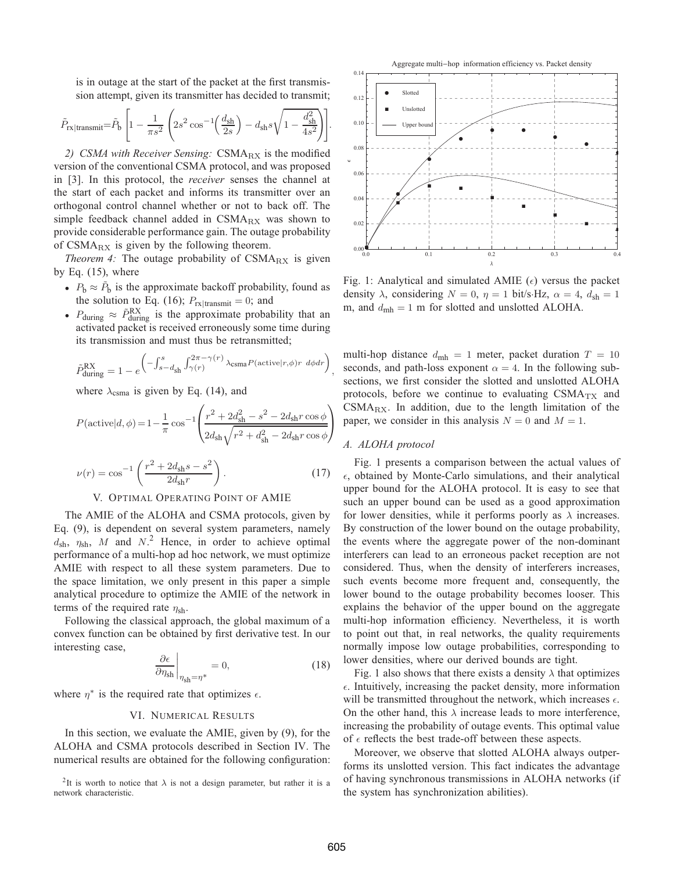is in outage at the start of the packet at the first transmission attempt, given its transmitter has decided to transmit;

$$
\tilde{P}_{\text{rx}|\text{transmit}} = \tilde{P}_{\text{b}} \left[ 1 - \frac{1}{\pi s^2} \left( 2s^2 \cos^{-1} \left( \frac{d_{\text{sh}}}{2s} \right) - d_{\text{sh}} s \sqrt{1 - \frac{d_{\text{sh}}^2}{4s^2}} \right) \right]
$$

2) CSMA with Receiver Sensing: CSMA<sub>RX</sub> is the modified version of the conventional CSMA protocol, and was proposed in [3]. In this protocol, the *receiver* senses the channel at the start of each packet and informs its transmitter over an orthogonal control channel whether or not to back off. The simple feedback channel added in  $CSMA_{RX}$  was shown to provide considerable performance gain. The outage probability of  $CSMA_{RX}$  is given by the following theorem.

*Theorem 4:* The outage probability of CSMA<sub>RX</sub> is given by Eq.  $(15)$ , where

- $P_b \approx \tilde{P}_b$  is the approximate backoff probability, found as the solution to Eq. (16);  $P_{rx|transmit} = 0$ ; and
- $P_{\text{during}} \approx \tilde{P}_{\text{during}}^{\text{RX}}$  is the approximate probability that an activated packet is received erroneously some time during its transmission and must thus be retransmitted;

$$
\tilde{P}_{\text{during}}^{\text{RX}} = 1 - e^{\left(-\int_{s-d_{\text{sh}}}^{s} \int_{\gamma(r)}^{2\pi - \gamma(r)} \lambda_{\text{CSma}} P(\text{active}|r, \phi)r \ d\phi dr\right)},
$$

where  $\lambda_{\text{csma}}$  is given by Eq. (14), and

$$
P(\text{active}|d, \phi) = 1 - \frac{1}{\pi} \cos^{-1} \left( \frac{r^2 + 2d_{\text{sh}}^2 - s^2 - 2d_{\text{sh}}r \cos \phi}{2d_{\text{sh}}\sqrt{r^2 + d_{\text{sh}}^2 - 2d_{\text{sh}}r \cos \phi}} \right)
$$

$$
\nu(r) = \cos^{-1} \left( \frac{r^2 + 2d_{\text{sh}}s - s^2}{2d_{\text{sh}}r} \right). \tag{17}
$$

#### V. OPTIMAL OPERATING POINT OF AMIE

The AMIE of the ALOHA and CSMA protocols, given by Eq. (9), is dependent on several system parameters, namely  $d_{\rm sh}$ ,  $\eta_{\rm sh}$ , M and N.<sup>2</sup> Hence, in order to achieve optimal performance of a multi-hop ad hoc network, we must optimize AMIE with respect to all these system parameters. Due to the space limitation, we only present in this paper a simple analytical procedure to optimize the AMIE of the network in terms of the required rate  $\eta_{\rm sh}$ .

Following the classical approach, the global maximum of a convex function can be obtained by first derivative test. In our interesting case,

$$
\left. \frac{\partial \epsilon}{\partial \eta_{\rm sh}} \right|_{\eta_{\rm sh} = \eta^*} = 0, \tag{18}
$$

where  $\eta^*$  is the required rate that optimizes  $\epsilon$ .

#### VI. NUMERICAL RESULTS

In this section, we evaluate the AMIE, given by (9), for the ALOHA and CSMA protocols described in Section IV. The numerical results are obtained for the following configuration:

<sup>2</sup>It is worth to notice that  $\lambda$  is not a design parameter, but rather it is a network characteristic.



Fig. 1: Analytical and simulated AMIE  $(\epsilon)$  versus the packet density  $\lambda$ , considering  $N = 0$ ,  $\eta = 1$  bit/s·Hz,  $\alpha = 4$ ,  $d_{\rm sh} = 1$ m, and  $d_{\text{mh}} = 1$  m for slotted and unslotted ALOHA.

multi-hop distance  $d_{\text{mh}} = 1$  meter, packet duration  $T = 10$ seconds, and path-loss exponent  $\alpha = 4$ . In the following subsections, we first consider the slotted and unslotted ALOHA protocols, before we continue to evaluating  $CSMA_{TX}$  and  $CSMA_{RX}$ . In addition, due to the length limitation of the paper, we consider in this analysis  $N = 0$  and  $M = 1$ .

#### *A. ALOHA protocol*

Fig. 1 presents a comparison between the actual values of  $\epsilon$ , obtained by Monte-Carlo simulations, and their analytical upper bound for the ALOHA protocol. It is easy to see that such an upper bound can be used as a good approximation for lower densities, while it performs poorly as  $\lambda$  increases. By construction of the lower bound on the outage probability, the events where the aggregate power of the non-dominant interferers can lead to an erroneous packet reception are not considered. Thus, when the density of interferers increases, such events become more frequent and, consequently, the lower bound to the outage probability becomes looser. This explains the behavior of the upper bound on the aggregate multi-hop information efficiency. Nevertheless, it is worth to point out that, in real networks, the quality requirements normally impose low outage probabilities, corresponding to lower densities, where our derived bounds are tight.

Fig. 1 also shows that there exists a density  $\lambda$  that optimizes  $\epsilon$ . Intuitively, increasing the packet density, more information will be transmitted throughout the network, which increases  $\epsilon$ . On the other hand, this  $\lambda$  increase leads to more interference, increasing the probability of outage events. This optimal value of  $\epsilon$  reflects the best trade-off between these aspects.

Moreover, we observe that slotted ALOHA always outperforms its unslotted version. This fact indicates the advantage of having synchronous transmissions in ALOHA networks (if the system has synchronization abilities).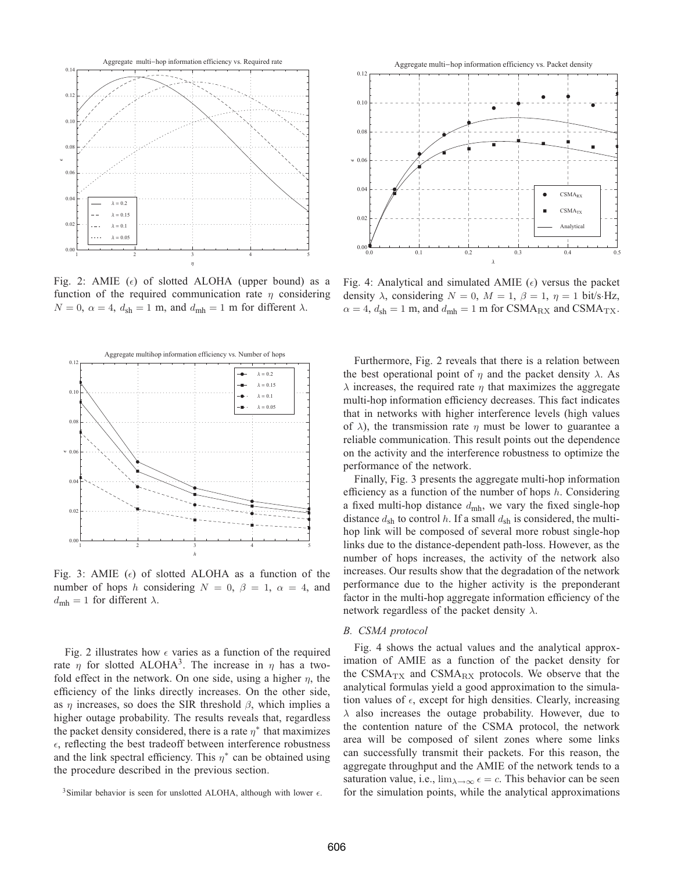

Fig. 2: AMIE ( $\epsilon$ ) of slotted ALOHA (upper bound) as a function of the required communication rate  $\eta$  considering  $N = 0$ ,  $\alpha = 4$ ,  $d_{\rm sh} = 1$  m, and  $d_{\rm mh} = 1$  m for different  $\lambda$ .



Fig. 3: AMIE  $(\epsilon)$  of slotted ALOHA as a function of the number of hops h considering  $N = 0$ ,  $\beta = 1$ ,  $\alpha = 4$ , and  $d_{\text{mh}} = 1$  for different  $\lambda$ .

Fig. 2 illustrates how  $\epsilon$  varies as a function of the required rate  $\eta$  for slotted ALOHA<sup>3</sup>. The increase in  $\eta$  has a twofold effect in the network. On one side, using a higher  $\eta$ , the efficiency of the links directly increases. On the other side, as  $\eta$  increases, so does the SIR threshold  $\beta$ , which implies a higher outage probability. The results reveals that, regardless the packet density considered, there is a rate  $\eta^*$  that maximizes  $\epsilon$ , reflecting the best tradeoff between interference robustness and the link spectral efficiency. This  $\eta^*$  can be obtained using the procedure described in the previous section.



Fig. 4: Analytical and simulated AMIE  $(\epsilon)$  versus the packet density  $\lambda$ , considering  $N = 0$ ,  $M = 1$ ,  $\beta = 1$ ,  $\eta = 1$  bit/s·Hz,  $\alpha = 4$ ,  $d_{\rm sh} = 1$  m, and  $d_{\rm mh} = 1$  m for CSMA<sub>RX</sub> and CSMA<sub>TX</sub>.

Furthermore, Fig. 2 reveals that there is a relation between the best operational point of  $\eta$  and the packet density  $\lambda$ . As  $\lambda$  increases, the required rate  $\eta$  that maximizes the aggregate multi-hop information efficiency decreases. This fact indicates that in networks with higher interference levels (high values of  $\lambda$ ), the transmission rate  $\eta$  must be lower to guarantee a reliable communication. This result points out the dependence on the activity and the interference robustness to optimize the performance of the network.

Finally, Fig. 3 presents the aggregate multi-hop information efficiency as a function of the number of hops  $h$ . Considering a fixed multi-hop distance  $d_{\text{mh}}$ , we vary the fixed single-hop distance  $d_{\rm sh}$  to control h. If a small  $d_{\rm sh}$  is considered, the multihop link will be composed of several more robust single-hop links due to the distance-dependent path-loss. However, as the number of hops increases, the activity of the network also increases. Our results show that the degradation of the network performance due to the higher activity is the preponderant factor in the multi-hop aggregate information efficiency of the network regardless of the packet density  $\lambda$ .

#### *B. CSMA protocol*

Fig. 4 shows the actual values and the analytical approximation of AMIE as a function of the packet density for the CSMA<sub>TX</sub> and CSMA<sub>RX</sub> protocols. We observe that the analytical formulas yield a good approximation to the simulation values of  $\epsilon$ , except for high densities. Clearly, increasing  $\lambda$  also increases the outage probability. However, due to the contention nature of the CSMA protocol, the network area will be composed of silent zones where some links can successfully transmit their packets. For this reason, the aggregate throughput and the AMIE of the network tends to a saturation value, i.e.,  $\lim_{\lambda \to \infty} \epsilon = c$ . This behavior can be seen for the simulation points, while the analytical approximations

<sup>&</sup>lt;sup>3</sup>Similar behavior is seen for unslotted ALOHA, although with lower  $\epsilon$ .